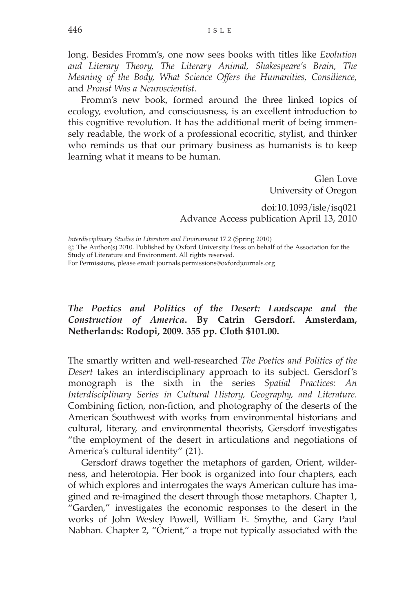long. Besides Fromm's, one now sees books with titles like Evolution and Literary Theory, The Literary Animal, Shakespeare's Brain, The Meaning of the Body, What Science Offers the Humanities, Consilience, and Proust Was a Neuroscientist.

Fromm's new book, formed around the three linked topics of ecology, evolution, and consciousness, is an excellent introduction to this cognitive revolution. It has the additional merit of being immensely readable, the work of a professional ecocritic, stylist, and thinker who reminds us that our primary business as humanists is to keep learning what it means to be human.

> Glen Love University of Oregon

doi:10.1093/isle/isq021 Advance Access publication April 13, 2010

Interdisciplinary Studies in Literature and Environment 17.2 (Spring 2010)  $\odot$  The Author(s) 2010. Published by Oxford University Press on behalf of the Association for the Study of Literature and Environment. All rights reserved. For Permissions, please email: journals.permissions@oxfordjournals.org

## The Poetics and Politics of the Desert: Landscape and the Construction of America. By Catrin Gersdorf. Amsterdam, Netherlands: Rodopi, 2009. 355 pp. Cloth \$101.00.

The smartly written and well-researched The Poetics and Politics of the Desert takes an interdisciplinary approach to its subject. Gersdorf's monograph is the sixth in the series Spatial Practices: An Interdisciplinary Series in Cultural History, Geography, and Literature. Combining fiction, non-fiction, and photography of the deserts of the American Southwest with works from environmental historians and cultural, literary, and environmental theorists, Gersdorf investigates "the employment of the desert in articulations and negotiations of America's cultural identity" (21).

Gersdorf draws together the metaphors of garden, Orient, wilderness, and heterotopia. Her book is organized into four chapters, each of which explores and interrogates the ways American culture has imagined and re-imagined the desert through those metaphors. Chapter 1, "Garden," investigates the economic responses to the desert in the works of John Wesley Powell, William E. Smythe, and Gary Paul Nabhan. Chapter 2, "Orient," a trope not typically associated with the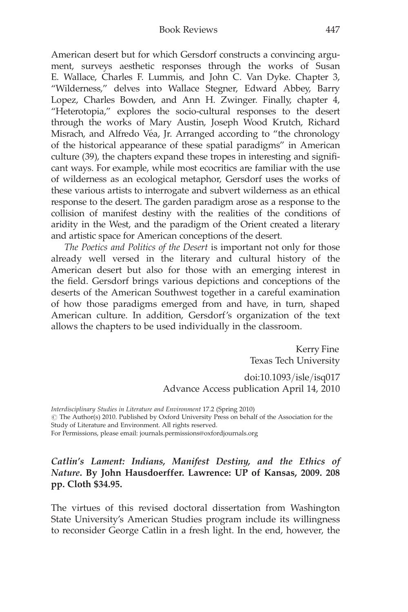American desert but for which Gersdorf constructs a convincing argument, surveys aesthetic responses through the works of Susan E. Wallace, Charles F. Lummis, and John C. Van Dyke. Chapter 3, "Wilderness," delves into Wallace Stegner, Edward Abbey, Barry Lopez, Charles Bowden, and Ann H. Zwinger. Finally, chapter 4, "Heterotopia," explores the socio-cultural responses to the desert through the works of Mary Austin, Joseph Wood Krutch, Richard Misrach, and Alfredo Véa, Jr. Arranged according to "the chronology of the historical appearance of these spatial paradigms" in American culture (39), the chapters expand these tropes in interesting and significant ways. For example, while most ecocritics are familiar with the use of wilderness as an ecological metaphor, Gersdorf uses the works of these various artists to interrogate and subvert wilderness as an ethical response to the desert. The garden paradigm arose as a response to the collision of manifest destiny with the realities of the conditions of aridity in the West, and the paradigm of the Orient created a literary and artistic space for American conceptions of the desert.

The Poetics and Politics of the Desert is important not only for those already well versed in the literary and cultural history of the American desert but also for those with an emerging interest in the field. Gersdorf brings various depictions and conceptions of the deserts of the American Southwest together in a careful examination of how those paradigms emerged from and have, in turn, shaped American culture. In addition, Gersdorf's organization of the text allows the chapters to be used individually in the classroom.

> Kerry Fine Texas Tech University

doi:10.1093/isle/isq017 Advance Access publication April 14, 2010

Interdisciplinary Studies in Literature and Environment 17.2 (Spring 2010)  $\odot$  The Author(s) 2010. Published by Oxford University Press on behalf of the Association for the Study of Literature and Environment. All rights reserved. For Permissions, please email: journals.permissions@oxfordjournals.org

## Catlin's Lament: Indians, Manifest Destiny, and the Ethics of Nature. By John Hausdoerffer. Lawrence: UP of Kansas, 2009. 208 pp. Cloth \$34.95.

The virtues of this revised doctoral dissertation from Washington State University's American Studies program include its willingness to reconsider George Catlin in a fresh light. In the end, however, the